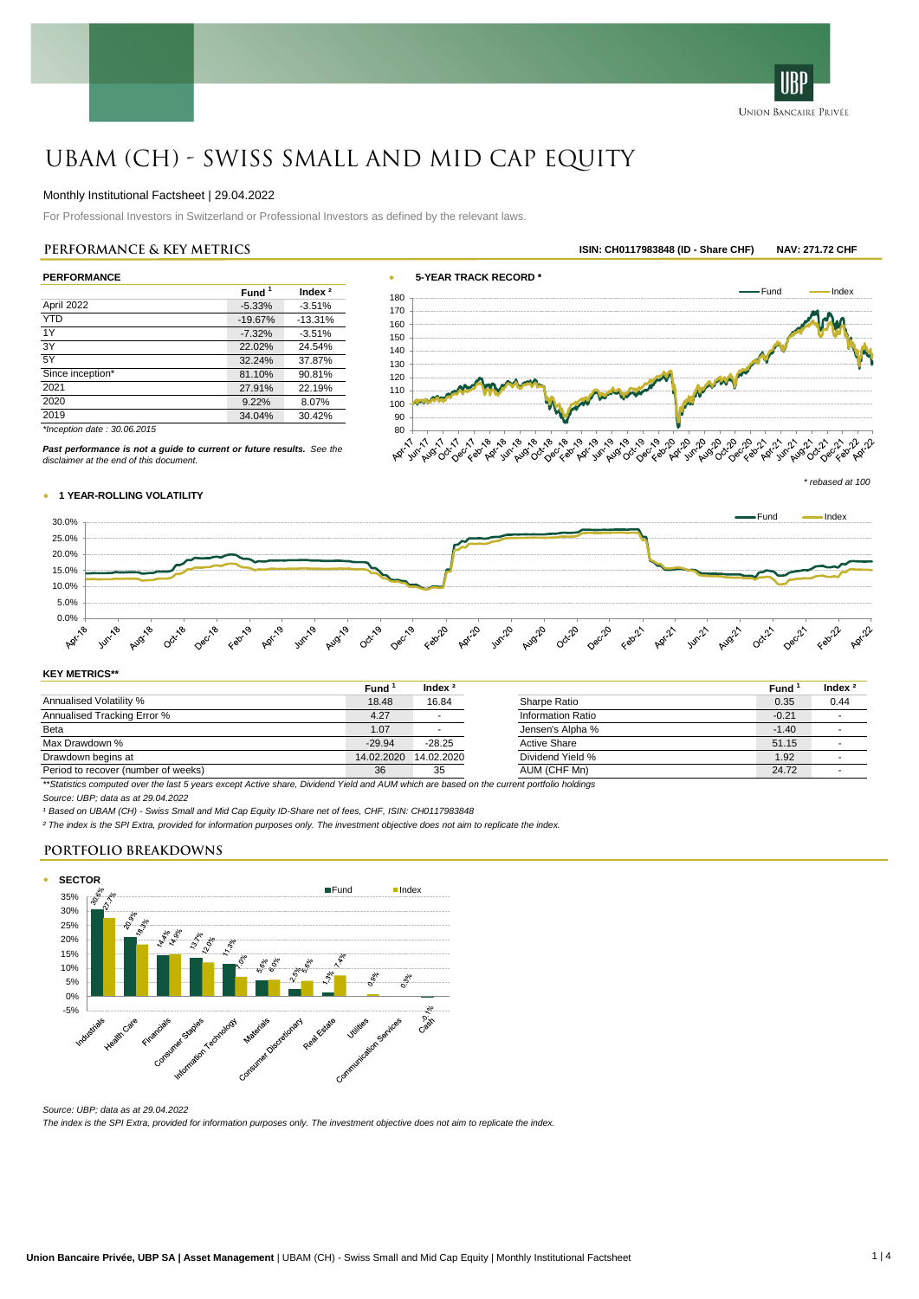

# UBAM (CH) - Swiss Small and Mid Cap Equity

## Monthly Institutional Factsheet | 29.04.2022

For Professional Investors in Switzerland or Professional Investors as defined by the relevant laws.

|                  | Fund <sup>1</sup> | Index <sup>2</sup> |
|------------------|-------------------|--------------------|
| April 2022       | $-5.33%$          | $-3.51%$           |
| <b>YTD</b>       | $-19.67%$         | $-13.31%$          |
| 1Y               | $-7.32%$          | $-3.51%$           |
| 3Y               | 22.02%            | 24.54%             |
| 5Y               | 32.24%            | 37.87%             |
| Since inception* | 81.10%            | 90.81%             |
| 2021             | 27.91%            | 22.19%             |
| 2020             | 9.22%             | 8.07%              |
| 2019             | 34.04%            | 30.42%             |



*Past performance is not a guide to current or future results. See the*

*\* rebased at 100*

# w **1 YEAR-ROLLING VOLATILITY**

*disclaimer at the end of this document.*



#### **KEY METRICS\*\***

|                                                                                                                                            | Fund       | Index $^2$ |                     | Fund    | Index $^2$ |
|--------------------------------------------------------------------------------------------------------------------------------------------|------------|------------|---------------------|---------|------------|
| Annualised Volatility %                                                                                                                    | 18.48      | 16.84      | Sharpe Ratio        | 0.35    | 0.44       |
| Annualised Tracking Error %                                                                                                                | 4.27       |            | Information Ratio   | $-0.21$ |            |
| Beta                                                                                                                                       | 1.07       |            | Jensen's Alpha %    | $-1.40$ |            |
| Max Drawdown %                                                                                                                             | $-29.94$   | $-28.25$   | <b>Active Share</b> | 51.15   |            |
| Drawdown begins at                                                                                                                         | 14.02.2020 | 14.02.2020 | Dividend Yield %    | 1.92    |            |
| Period to recover (number of weeks)                                                                                                        | 36         | 35         | AUM (CHF Mn)        | 24.72   |            |
| **Crediction computed over the leat E veers avenue Active abore. Dividend Vield and ALIM which are beend on the overant pertfolio beldinge |            |            |                     |         |            |

*\*\*Statistics computed over the last 5 years except Active share, Dividend Yield and AUM which are based on the current portfolio holdings*

*Source: UBP; data as at 29.04.2022*

*¹ Based on UBAM (CH) - Swiss Small and Mid Cap Equity ID-Share net of fees, CHF, ISIN: CH0117983848*

*² The index is the SPI Extra, provided for information purposes only. The investment objective does not aim to replicate the index.*

# **PORTFOLIO BREAKDOWNS**



*Source: UBP; data as at 29.04.2022*

*The index is the SPI Extra, provided for information purposes only. The investment objective does not aim to replicate the index.*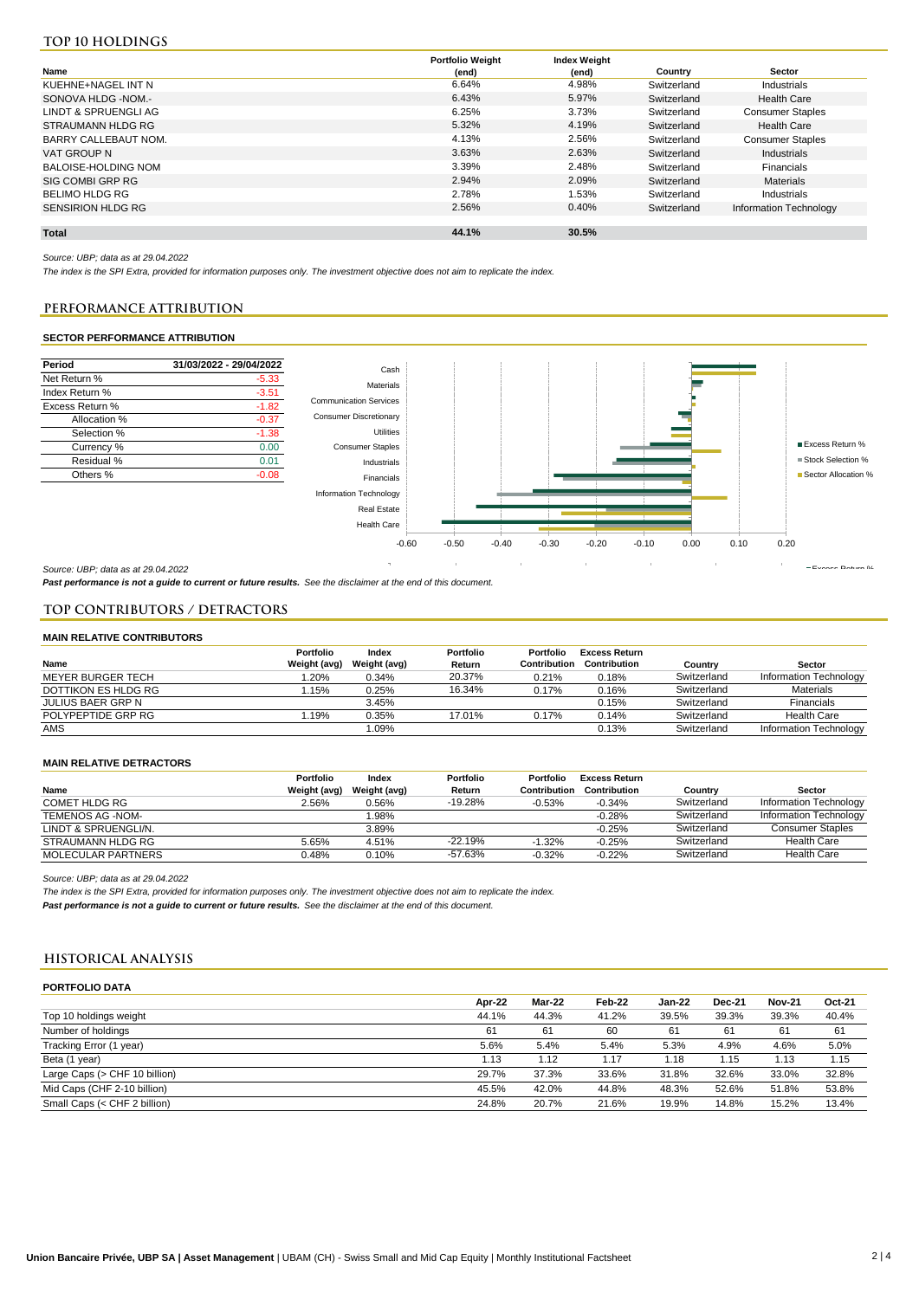# **Top 10 holdings**

|                          | <b>Portfolio Weight</b> | <b>Index Weight</b> |             |                         |
|--------------------------|-------------------------|---------------------|-------------|-------------------------|
| Name                     | (end)                   | (end)               | Country     | Sector                  |
| KUEHNE+NAGEL INT N       | 6.64%                   | 4.98%               | Switzerland | Industrials             |
| SONOVA HLDG -NOM.-       | 6.43%                   | 5.97%               | Switzerland | <b>Health Care</b>      |
| LINDT & SPRUENGLI AG     | 6.25%                   | 3.73%               | Switzerland | <b>Consumer Staples</b> |
| STRAUMANN HLDG RG        | 5.32%                   | 4.19%               | Switzerland | <b>Health Care</b>      |
| BARRY CALLEBAUT NOM.     | 4.13%                   | 2.56%               | Switzerland | <b>Consumer Staples</b> |
| VAT GROUP N              | 3.63%                   | 2.63%               | Switzerland | Industrials             |
| BALOISE-HOLDING NOM      | 3.39%                   | 2.48%               | Switzerland | <b>Financials</b>       |
| SIG COMBI GRP RG         | 2.94%                   | 2.09%               | Switzerland | Materials               |
| <b>BELIMO HLDG RG</b>    | 2.78%                   | 1.53%               | Switzerland | Industrials             |
| <b>SENSIRION HLDG RG</b> | 2.56%                   | 0.40%               | Switzerland | Information Technology  |
|                          |                         |                     |             |                         |
| <b>Total</b>             | 44.1%                   | 30.5%               |             |                         |

*Source: UBP; data as at 29.04.2022*

*The index is the SPI Extra, provided for information purposes only. The investment objective does not aim to replicate the index.*

# **PERFORMANCE ATTRIBUTION PERFORMANCE ATTRIBUTION**

#### SECTOR PERFORMANCE ATTRIBUTION **SECTOR PERFORMANCE ATTRIBUTION**



*Source: UBP; data as at 29.04.2022*

*Past performance is not a guide to current or future results. See the disclaimer at the end of this document.*

#### **TOP CONTRIBUTORS / DETRACTORS**

#### **MAIN RELATIVE CONTRIBUTORS**

|                     | Portfolio    | Index        | Portfolio | Portfolio    | <b>Excess Return</b> |             |                        |
|---------------------|--------------|--------------|-----------|--------------|----------------------|-------------|------------------------|
| Name                | Weight (avg) | Weight (avg) | Return    | Contribution | Contribution         | Country     | Sector                 |
| MEYER BURGER TECH   | .20%         | 0.34%        | 20.37%    | 0.21%        | 0.18%                | Switzerland | Information Technology |
| DOTTIKON ES HLDG RG | .15%         | 0.25%        | 16.34%    | 0.17%        | 0.16%                | Switzerland | <b>Materials</b>       |
| JULIUS BAER GRP N   |              | 3.45%        |           |              | 0.15%                | Switzerland | Financials             |
| POLYPEPTIDE GRP RG  | .19%         | 0.35%        | 17.01%    | 0.17%        | 0.14%                | Switzerland | <b>Health Care</b>     |
| AMS                 |              | 1.09%        |           |              | 0.13%                | Switzerland | Information Technology |

#### **MAIN RELATIVE DETRACTORS**

|                      | Portfolio    | Index        | Portfolio | <b>Portfolio</b> | <b>Excess Return</b> |             |                         |
|----------------------|--------------|--------------|-----------|------------------|----------------------|-------------|-------------------------|
| Name                 | Weight (avg) | Weight (avg) | Return    | Contribution     | Contribution         | Countrv     | Sector                  |
| <b>COMET HLDG RG</b> | 2.56%        | 0.56%        | $-19.28%$ | $-0.53%$         | $-0.34%$             | Switzerland | Information Technology  |
| TEMENOS AG -NOM-     |              | .98%         |           |                  | $-0.28%$             | Switzerland | Information Technology  |
| LINDT & SPRUENGLI/N. |              | 3.89%        |           |                  | $-0.25%$             | Switzerland | <b>Consumer Staples</b> |
| STRAUMANN HLDG RG    | 5.65%        | 4.51%        | $-22.19%$ | $-1.32%$         | $-0.25%$             | Switzerland | <b>Health Care</b>      |
| MOLECULAR PARTNERS   | 0.48%        | 0.10%        | -57.63%   | $-0.32%$         | $-0.22%$             | Switzerland | <b>Health Care</b>      |

*Source: UBP; data as at 29.04.2022*

*The index is the SPI Extra, provided for information purposes only. The investment objective does not aim to replicate the index. Past performance is not a guide to current or future results. See the disclaimer at the end of this document.*

# **HISTORICAL ANALYSIS**

| <b>PORTFOLIO DATA</b>         |        |        |        |          |               |               |        |
|-------------------------------|--------|--------|--------|----------|---------------|---------------|--------|
|                               | Apr-22 | Mar-22 | Feb-22 | $Jan-22$ | <b>Dec-21</b> | <b>Nov-21</b> | Oct-21 |
| Top 10 holdings weight        | 44.1%  | 44.3%  | 41.2%  | 39.5%    | 39.3%         | 39.3%         | 40.4%  |
| Number of holdings            | 61     | 61     | 60     | 61       | 61            | 61            | 61     |
| Tracking Error (1 year)       | 5.6%   | 5.4%   | 5.4%   | 5.3%     | 4.9%          | 4.6%          | 5.0%   |
| Beta (1 year)                 | 1.13   | 1.12   | 1.17   | .18      | 1.15          | 1.13          | 1.15   |
| Large Caps (> CHF 10 billion) | 29.7%  | 37.3%  | 33.6%  | 31.8%    | 32.6%         | 33.0%         | 32.8%  |
| Mid Caps (CHF 2-10 billion)   | 45.5%  | 42.0%  | 44.8%  | 48.3%    | 52.6%         | 51.8%         | 53.8%  |
| Small Caps (< CHF 2 billion)  | 24.8%  | 20.7%  | 21.6%  | 19.9%    | 14.8%         | 15.2%         | 13.4%  |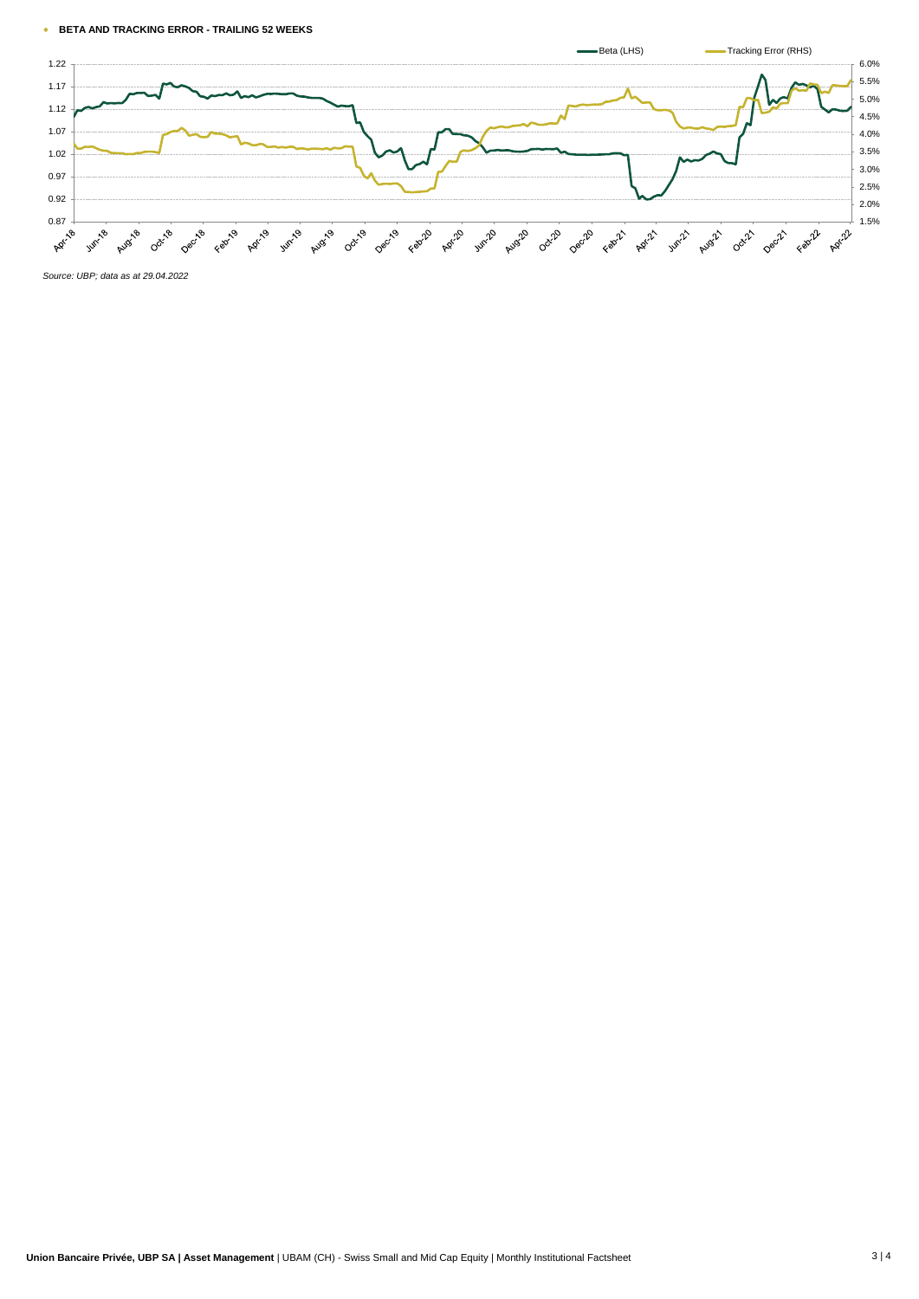#### w **BETA AND TRACKING ERROR - TRAILING 52 WEEKS**



*Source: UBP; data as at 29.04.2022*